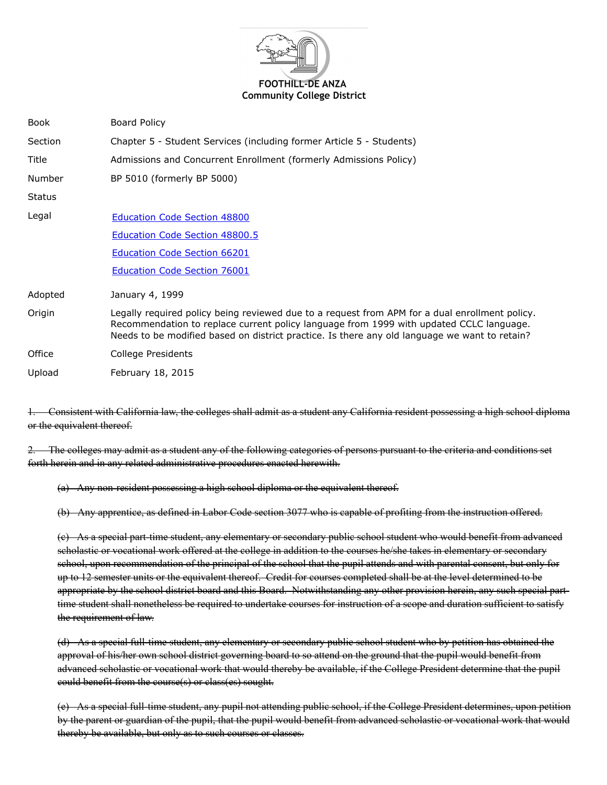

| Book    | Board Policy                                                                                                                                                                                                                                                                               |
|---------|--------------------------------------------------------------------------------------------------------------------------------------------------------------------------------------------------------------------------------------------------------------------------------------------|
| Section | Chapter 5 - Student Services (including former Article 5 - Students)                                                                                                                                                                                                                       |
| Title   | Admissions and Concurrent Enrollment (formerly Admissions Policy)                                                                                                                                                                                                                          |
| Number  | BP 5010 (formerly BP 5000)                                                                                                                                                                                                                                                                 |
| Status  |                                                                                                                                                                                                                                                                                            |
| Legal   | <b>Education Code Section 48800</b>                                                                                                                                                                                                                                                        |
|         | <b>Education Code Section 48800.5</b>                                                                                                                                                                                                                                                      |
|         | <b>Education Code Section 66201</b>                                                                                                                                                                                                                                                        |
|         | <b>Education Code Section 76001</b>                                                                                                                                                                                                                                                        |
| Adopted | January 4, 1999                                                                                                                                                                                                                                                                            |
| Origin  | Legally required policy being reviewed due to a request from APM for a dual enrollment policy.<br>Recommendation to replace current policy language from 1999 with updated CCLC language.<br>Needs to be modified based on district practice. Is there any old language we want to retain? |
| Office  | College Presidents                                                                                                                                                                                                                                                                         |
| Upload  | February 18, 2015                                                                                                                                                                                                                                                                          |

1. Consistent with California law, the colleges shall admit as a student any California resident possessing a high school diploma or the equivalent thereof.

2. The colleges may admit as a student any of the following categories of persons pursuant to the criteria and conditions set forth herein and in any related administrative procedures enacted herewith.

 $(a)$  Any non-resident possessing a high school diploma or the equivalent thereof.

(b) Any apprentice, as defined in Labor Code section 3077 who is capable of profiting from the instruction offered.

(e) As a special part-time student, any elementary or secondary public school student who would benefit from advanced scholastic or vocational work offered at the college in addition to the courses he/she takes in elementary or secondary school, upon recommendation of the principal of the school that the pupil attends and with parental consent, but only for up to 12 semester units or the equivalent thereof. Credit for courses completed shall be at the level determined to be appropriate by the school district board and this Board. Notwithstanding any other provision herein, any such special parttime student shall nonetheless be required to undertake courses for instruction of a scope and duration sufficient to satisfy the requirement of law.

(d) As a special full time student, any elementary or secondary public school student who by petition has obtained the approval of his/her own school district governing board to so attend on the ground that the pupil would benefit from advanced scholastic or vocational work that would thereby be available, if the College President determine that the pupil could benefit from the course(s) or class(es) sought.

(e) As a special full time student, any pupil not attending public school, if the College President determines, upon petition by the parent or guardian of the pupil, that the pupil would benefit from advanced scholastic or vocational work that would thereby be available, but only as to such courses or classes.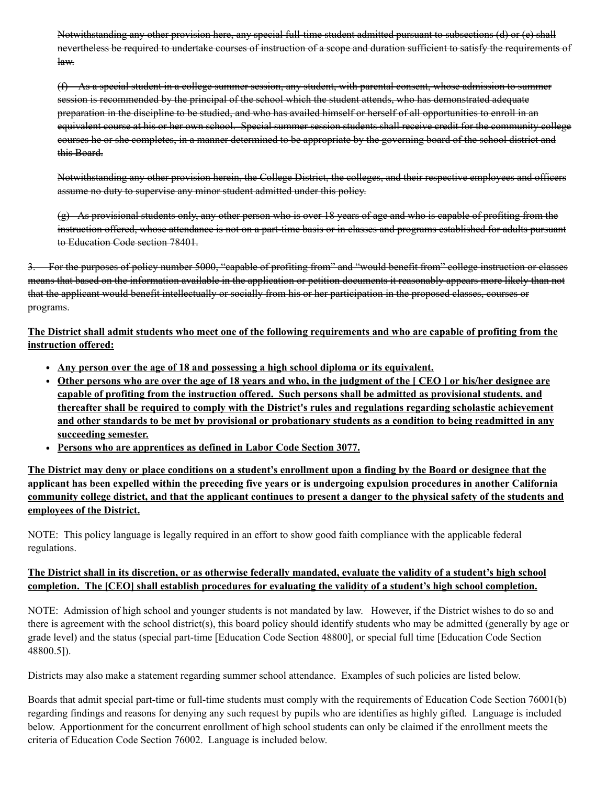Notwithstanding any other provision here, any special full-time student admitted pursuant to subsections nevertheless be required to undertake courses of instruction of a scope and duration sufficient to satisfy law.

(f) As a special student in a college summer session, any student, with parental consent, whose admission to summer session is recommended by the principal of the school which the student attends, who has demonstrated adequate preparation in the discipline to be studied, and who has availed himself or herself of all opportunities to enroll in an equivalent course at his or her own school. Special summer session students shall receive credit for the community college courses he or she completes, in a manner determined to be appropriate by the governing board of the school district and this Board.

Notwithstanding any other provision herein, the College District, the colleges, and their respective assume no duty to supervise any minor student admitted under this policy.

(g) As provisional students only, any other person who is over 18 years of age and who is capable of profiting from the instruction offered, whose attendance is not on a part time basis or in classes and programs established for adults pursuant to Education Code section 78401.

For the purposes of policy number 5000, "capable of profiting from" and "would benefit from" college instruction or classes means that based on the information available in the application or petition documents it reasonably appears more likely than not that the applicant would benefit intellectually or socially from his or her participation in the proposed classes, courses or programs.

**The District shall admit students who meet one of the following requirements and who are capable of profiting from the instruction offered:**

- **Any person over the age of 18 and possessing a high school diploma or its equivalent.**
- **Other persons who are over the age of 18 years and who, in the judgment of the [ CEO ] or his/her designee are capable of profiting from the instruction offered. Such persons shall be admitted as provisional students, and thereafter shall be required to comply with the District's rules and regulations regarding scholastic achievement and other standards to be met by provisional or probationary students as a condition to being readmitted in any succeeding semester.**
- **Persons who are apprentices as defined in Labor Code Section 3077.**

**The District may deny or place conditions on a student's enrollment upon a finding by the Board or designee that the applicant has been expelled within the preceding five years or is undergoing expulsion procedures in another California community college district, and that the applicant continues to present a danger to the physical safety of the students and employees of the District.**

NOTE: This policy language is legally required in an effort to show good faith compliance with the applicable federal regulations.

## **The District shall in its discretion, or as otherwise federally mandated, evaluate the validity of a student's high school completion. The [CEO] shall establish procedures for evaluating the validity of a student's high school completion.**

NOTE: Admission of high school and younger students is not mandated by law. However, if the District wishes to do so and there is agreement with the school district(s), this board policy should identify students who may be admitted (generally by age or grade level) and the status (special part-time [Education Code Section 48800], or special full time [Education Code Section 48800.5]).

Districts may also make a statement regarding summer school attendance. Examples of such policies are listed below.

Boards that admit special part-time or full-time students must comply with the requirements of Education Code Section 76001(b) regarding findings and reasons for denying any such request by pupils who are identifies as highly gifted. Language is included below. Apportionment for the concurrent enrollment of high school students can only be claimed if the enrollment meets the criteria of Education Code Section 76002. Language is included below.